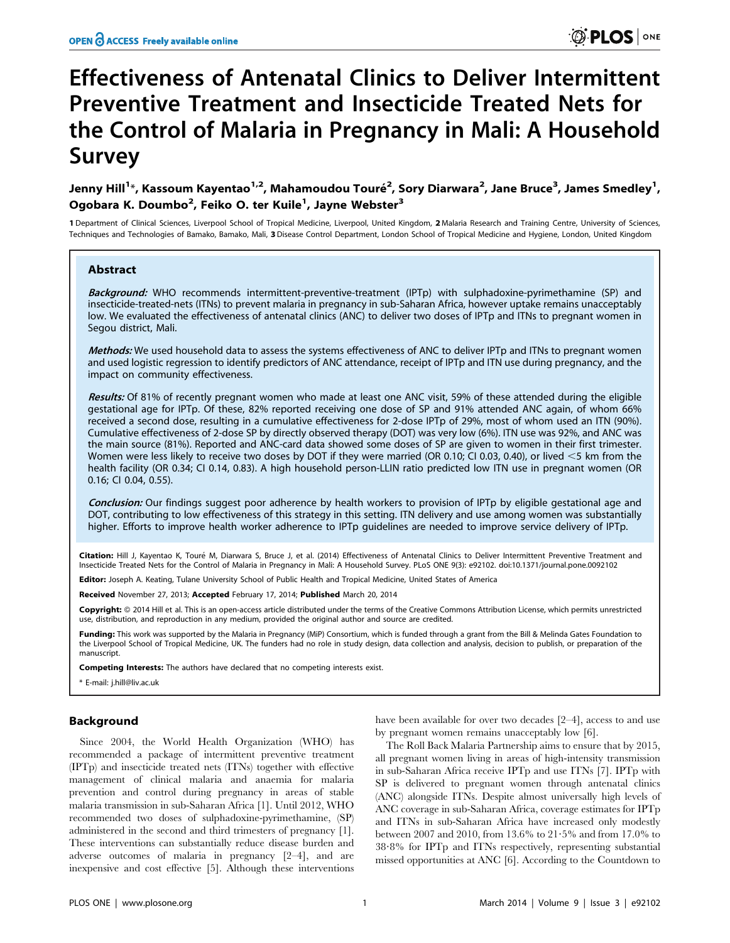# Effectiveness of Antenatal Clinics to Deliver Intermittent Preventive Treatment and Insecticide Treated Nets for the Control of Malaria in Pregnancy in Mali: A Household Survey

Jenny Hill<sup>1</sup>\*, Kassoum Kayentao<sup>1,2</sup>, Mahamoudou Touré<sup>2</sup>, Sory Diarwara<sup>2</sup>, Jane Bruce<sup>3</sup>, James Smedley<sup>1</sup>, Ogobara K. Doumbo<sup>2</sup>, Feiko O. ter Kuile<sup>1</sup>, Jayne Webster<sup>3</sup>

1 Department of Clinical Sciences, Liverpool School of Tropical Medicine, Liverpool, United Kingdom, 2 Malaria Research and Training Centre, University of Sciences, Techniques and Technologies of Bamako, Bamako, Mali, 3 Disease Control Department, London School of Tropical Medicine and Hygiene, London, United Kingdom

# Abstract

Background: WHO recommends intermittent-preventive-treatment (IPTp) with sulphadoxine-pyrimethamine (SP) and insecticide-treated-nets (ITNs) to prevent malaria in pregnancy in sub-Saharan Africa, however uptake remains unacceptably low. We evaluated the effectiveness of antenatal clinics (ANC) to deliver two doses of IPTp and ITNs to pregnant women in Segou district, Mali.

Methods: We used household data to assess the systems effectiveness of ANC to deliver IPTp and ITNs to pregnant women and used logistic regression to identify predictors of ANC attendance, receipt of IPTp and ITN use during pregnancy, and the impact on community effectiveness.

Results: Of 81% of recently pregnant women who made at least one ANC visit, 59% of these attended during the eligible gestational age for IPTp. Of these, 82% reported receiving one dose of SP and 91% attended ANC again, of whom 66% received a second dose, resulting in a cumulative effectiveness for 2-dose IPTp of 29%, most of whom used an ITN (90%). Cumulative effectiveness of 2-dose SP by directly observed therapy (DOT) was very low (6%). ITN use was 92%, and ANC was the main source (81%). Reported and ANC-card data showed some doses of SP are given to women in their first trimester. Women were less likely to receive two doses by DOT if they were married (OR 0.10; CI 0.03, 0.40), or lived <5 km from the health facility (OR 0.34; CI 0.14, 0.83). A high household person-LLIN ratio predicted low ITN use in pregnant women (OR 0.16; CI 0.04, 0.55).

Conclusion: Our findings suggest poor adherence by health workers to provision of IPTp by eligible gestational age and DOT, contributing to low effectiveness of this strategy in this setting. ITN delivery and use among women was substantially higher. Efforts to improve health worker adherence to IPTp guidelines are needed to improve service delivery of IPTp.

Citation: Hill J, Kayentao K, Touré M, Diarwara S, Bruce J, et al. (2014) Effectiveness of Antenatal Clinics to Deliver Intermittent Preventive Treatment and Insecticide Treated Nets for the Control of Malaria in Pregnancy in Mali: A Household Survey. PLoS ONE 9(3): e92102. doi:10.1371/journal.pone.0092102

Editor: Joseph A. Keating, Tulane University School of Public Health and Tropical Medicine, United States of America

Received November 27, 2013; Accepted February 17, 2014; Published March 20, 2014

Copyright: © 2014 Hill et al. This is an open-access article distributed under the terms of the [Creative Commons Attribution License,](http://creativecommons.org/licenses/by/4.0/) which permits unrestricted use, distribution, and reproduction in any medium, provided the original author and source are credited.

Funding: This work was supported by the Malaria in Pregnancy (MiP) Consortium, which is funded through a grant from the Bill & Melinda Gates Foundation to the Liverpool School of Tropical Medicine, UK. The funders had no role in study design, data collection and analysis, decision to publish, or preparation of the manuscript.

Competing Interests: The authors have declared that no competing interests exist.

\* E-mail: j.hill@liv.ac.uk

# Background

Since 2004, the World Health Organization (WHO) has recommended a package of intermittent preventive treatment (IPTp) and insecticide treated nets (ITNs) together with effective management of clinical malaria and anaemia for malaria prevention and control during pregnancy in areas of stable malaria transmission in sub-Saharan Africa [1]. Until 2012, WHO recommended two doses of sulphadoxine-pyrimethamine, (SP) administered in the second and third trimesters of pregnancy [1]. These interventions can substantially reduce disease burden and adverse outcomes of malaria in pregnancy [2–4], and are inexpensive and cost effective [5]. Although these interventions

have been available for over two decades [2–4], access to and use by pregnant women remains unacceptably low [6].

The Roll Back Malaria Partnership aims to ensure that by 2015, all pregnant women living in areas of high-intensity transmission in sub-Saharan Africa receive IPTp and use ITNs [7]. IPTp with SP is delivered to pregnant women through antenatal clinics (ANC) alongside ITNs. Despite almost universally high levels of ANC coverage in sub-Saharan Africa, coverage estimates for IPTp and ITNs in sub-Saharan Africa have increased only modestly between 2007 and 2010, from 13.6% to  $21.5%$  and from 17.0% to 38?8% for IPTp and ITNs respectively, representing substantial missed opportunities at ANC [6]. According to the Countdown to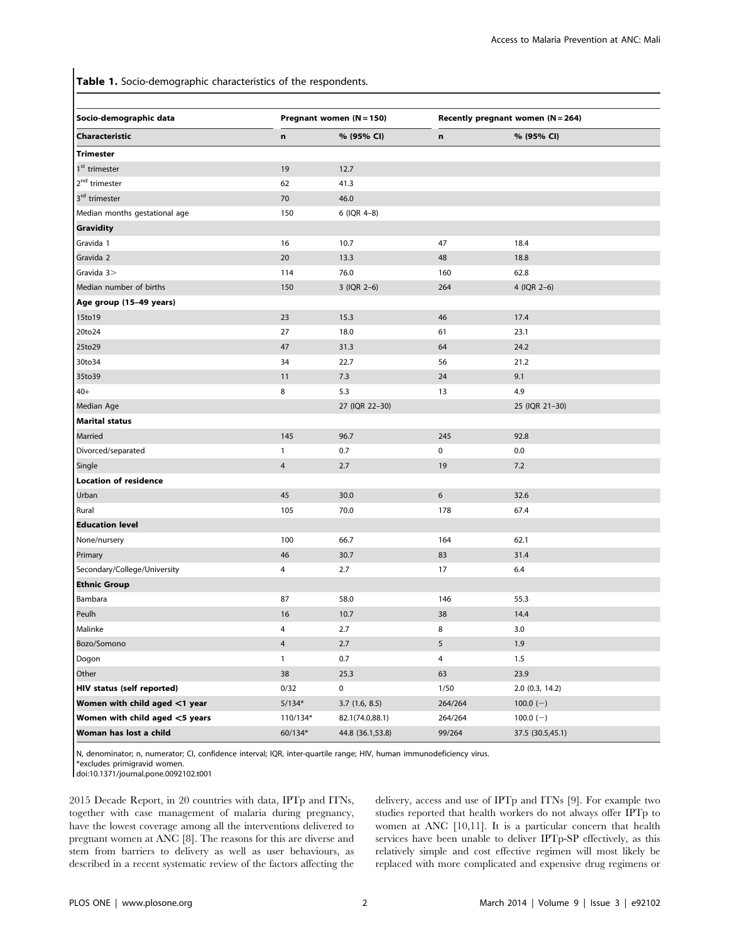Table 1. Socio-demographic characteristics of the respondents.

| Socio-demographic data         | Pregnant women $(N = 150)$ |                  | Recently pregnant women $(N = 264)$ |                   |
|--------------------------------|----------------------------|------------------|-------------------------------------|-------------------|
| Characteristic                 | n                          | % (95% CI)       | n                                   | % (95% CI)        |
| <b>Trimester</b>               |                            |                  |                                     |                   |
| 1 <sup>st</sup> trimester      | 19                         | 12.7             |                                     |                   |
| 2 <sup>nd</sup> trimester      | 62                         | 41.3             |                                     |                   |
| 3 <sup>rd</sup> trimester      | 70                         | 46.0             |                                     |                   |
| Median months gestational age  | 150                        | 6 (IQR 4-8)      |                                     |                   |
| <b>Gravidity</b>               |                            |                  |                                     |                   |
| Gravida 1                      | 16                         | 10.7             | 47                                  | 18.4              |
| Gravida 2                      | 20                         | 13.3             | 48                                  | 18.8              |
| Gravida 3>                     | 114                        | 76.0             | 160                                 | 62.8              |
| Median number of births        | 150                        | 3 (IQR 2-6)      | 264                                 | 4 (IQR 2-6)       |
| Age group (15-49 years)        |                            |                  |                                     |                   |
| 15to19                         | 23                         | 15.3             | 46                                  | 17.4              |
| 20to24                         | 27                         | 18.0             | 61                                  | 23.1              |
| 25to29                         | 47                         | 31.3             | 64                                  | 24.2              |
| 30to34                         | 34                         | 22.7             | 56                                  | 21.2              |
| 35to39                         | 11                         | 7.3              | 24                                  | 9.1               |
| $40+$                          | 8                          | 5.3              | 13                                  | 4.9               |
| Median Age                     |                            | 27 (IQR 22-30)   |                                     | 25 (IQR 21-30)    |
| <b>Marital status</b>          |                            |                  |                                     |                   |
| Married                        | 145                        | 96.7             | 245                                 | 92.8              |
| Divorced/separated             | $\mathbf{1}$               | 0.7              | 0                                   | 0.0               |
| Single                         | $\overline{4}$             | 2.7              | 19                                  | 7.2               |
| <b>Location of residence</b>   |                            |                  |                                     |                   |
| Urban                          | 45                         | 30.0             | 6                                   | 32.6              |
| Rural                          | 105                        | 70.0             | 178                                 | 67.4              |
| <b>Education level</b>         |                            |                  |                                     |                   |
| None/nursery                   | 100                        | 66.7             | 164                                 | 62.1              |
| Primary                        | 46                         | 30.7             | 83                                  | 31.4              |
| Secondary/College/University   | 4                          | 2.7              | 17                                  | 6.4               |
| <b>Ethnic Group</b>            |                            |                  |                                     |                   |
| Bambara                        | 87                         | 58.0             | 146                                 | 55.3              |
| Peulh                          | 16                         | 10.7             | 38                                  | 14.4              |
| Malinke                        | 4                          | 2.7              | 8                                   | 3.0               |
| Bozo/Somono                    | 4                          | 2.7              | 5                                   | 1.9               |
| Dogon                          | $\mathbf{1}$               | 0.7              | 4                                   | 1.5               |
| Other                          | 38                         | 25.3             | 63                                  | 23.9              |
| HIV status (self reported)     | 0/32                       | 0                | 1/50                                | $2.0$ (0.3, 14.2) |
| Women with child aged <1 year  | $5/134*$                   | 3.7(1.6, 8.5)    | 264/264                             | $100.0(-)$        |
| Women with child aged <5 years | 110/134*                   | 82.1(74.0,88.1)  | 264/264                             | 100.0 $(-)$       |
| Woman has lost a child         | $60/134*$                  | 44.8 (36.1,53.8) | 99/264                              | 37.5 (30.5,45.1)  |

N, denominator; n, numerator; CI, confidence interval; IQR, inter-quartile range; HIV, human immunodeficiency virus.

\*excludes primigravid women.

doi:10.1371/journal.pone.0092102.t001

2015 Decade Report, in 20 countries with data, IPTp and ITNs, together with case management of malaria during pregnancy, have the lowest coverage among all the interventions delivered to pregnant women at ANC [8]. The reasons for this are diverse and stem from barriers to delivery as well as user behaviours, as described in a recent systematic review of the factors affecting the delivery, access and use of IPTp and ITNs [9]. For example two studies reported that health workers do not always offer IPTp to women at ANC [10,11]. It is a particular concern that health services have been unable to deliver IPTp-SP effectively, as this relatively simple and cost effective regimen will most likely be replaced with more complicated and expensive drug regimens or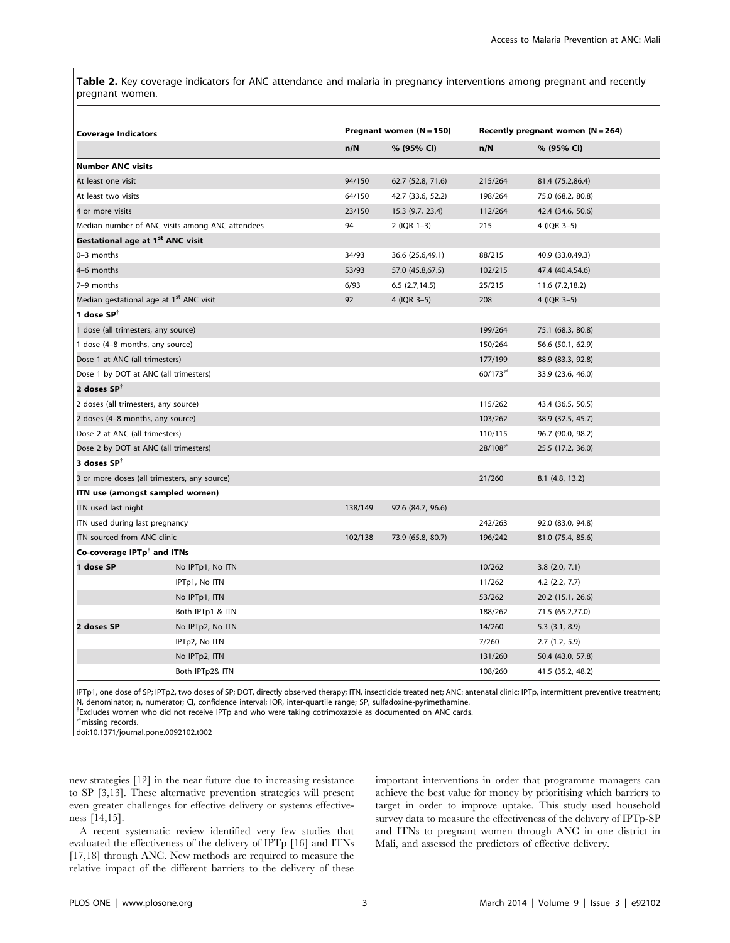Table 2. Key coverage indicators for ANC attendance and malaria in pregnancy interventions among pregnant and recently pregnant women.

| <b>Coverage Indicators</b>                                |                                                 |         | Pregnant women $(N = 150)$ |           | Recently pregnant women $(N = 264)$ |
|-----------------------------------------------------------|-------------------------------------------------|---------|----------------------------|-----------|-------------------------------------|
|                                                           |                                                 | n/N     | % (95% CI)                 | n/N       | % (95% CI)                          |
| <b>Number ANC visits</b>                                  |                                                 |         |                            |           |                                     |
| At least one visit                                        |                                                 | 94/150  | 62.7 (52.8, 71.6)          | 215/264   | 81.4 (75.2,86.4)                    |
| At least two visits                                       |                                                 | 64/150  | 42.7 (33.6, 52.2)          | 198/264   | 75.0 (68.2, 80.8)                   |
| 4 or more visits                                          |                                                 | 23/150  | 15.3 (9.7, 23.4)           | 112/264   | 42.4 (34.6, 50.6)                   |
|                                                           | Median number of ANC visits among ANC attendees | 94      | $2$ (IQR 1-3)              | 215       | 4 (IQR 3-5)                         |
| Gestational age at 1 <sup>st</sup> ANC visit              |                                                 |         |                            |           |                                     |
| 0-3 months                                                |                                                 | 34/93   | 36.6 (25.6,49.1)           | 88/215    | 40.9 (33.0,49.3)                    |
| 4-6 months                                                |                                                 | 53/93   | 57.0 (45.8,67.5)           | 102/215   | 47.4 (40.4,54.6)                    |
| 7-9 months                                                |                                                 | 6/93    | 6.5(2.7, 14.5)             | 25/215    | 11.6 (7.2,18.2)                     |
| Median gestational age at 1 <sup>st</sup> ANC visit       |                                                 | 92      | 4 (IQR 3-5)                | 208       | 4 (IQR 3-5)                         |
| 1 dose $SP^T$                                             |                                                 |         |                            |           |                                     |
| 1 dose (all trimesters, any source)                       |                                                 |         |                            | 199/264   | 75.1 (68.3, 80.8)                   |
| 1 dose (4–8 months, any source)                           |                                                 |         |                            | 150/264   | 56.6 (50.1, 62.9)                   |
| Dose 1 at ANC (all trimesters)                            |                                                 |         |                            | 177/199   | 88.9 (83.3, 92.8)                   |
| Dose 1 by DOT at ANC (all trimesters)                     |                                                 |         |                            | $60/173*$ | 33.9 (23.6, 46.0)                   |
| 2 doses SP <sup>†</sup>                                   |                                                 |         |                            |           |                                     |
| 2 doses (all trimesters, any source)                      |                                                 |         |                            | 115/262   | 43.4 (36.5, 50.5)                   |
| 2 doses (4-8 months, any source)                          |                                                 |         |                            | 103/262   | 38.9 (32.5, 45.7)                   |
| Dose 2 at ANC (all trimesters)                            |                                                 |         |                            | 110/115   | 96.7 (90.0, 98.2)                   |
| Dose 2 by DOT at ANC (all trimesters)                     |                                                 |         |                            | 28/108    | 25.5 (17.2, 36.0)                   |
| 3 doses $SP^T$                                            |                                                 |         |                            |           |                                     |
|                                                           | 3 or more doses (all trimesters, any source)    |         |                            | 21/260    | 8.1 (4.8, 13.2)                     |
| ITN use (amongst sampled women)                           |                                                 |         |                            |           |                                     |
| ITN used last night                                       |                                                 | 138/149 | 92.6 (84.7, 96.6)          |           |                                     |
| ITN used during last pregnancy                            |                                                 |         |                            | 242/263   | 92.0 (83.0, 94.8)                   |
| ITN sourced from ANC clinic                               |                                                 | 102/138 | 73.9 (65.8, 80.7)          | 196/242   | 81.0 (75.4, 85.6)                   |
| Co-coverage $\mathsf{IPTp}^\dagger$ and <code>ITNs</code> |                                                 |         |                            |           |                                     |
| 1 dose SP                                                 | No IPTp1, No ITN                                |         |                            | 10/262    | $3.8$ (2.0, 7.1)                    |
|                                                           | IPTp1, No ITN                                   |         |                            | 11/262    | $4.2$ $(2.2, 7.7)$                  |
|                                                           | No IPTp1, ITN                                   |         |                            | 53/262    | 20.2 (15.1, 26.6)                   |
|                                                           | Both IPTp1 & ITN                                |         |                            | 188/262   | 71.5 (65.2,77.0)                    |
| 2 doses SP                                                | No IPTp2, No ITN                                |         |                            | 14/260    | 5.3(3.1, 8.9)                       |
|                                                           | IPTp2, No ITN                                   |         |                            | 7/260     | 2.7(1.2, 5.9)                       |
|                                                           | No IPTp2, ITN                                   |         |                            | 131/260   | 50.4 (43.0, 57.8)                   |
|                                                           | Both IPTp2& ITN                                 |         |                            | 108/260   | 41.5 (35.2, 48.2)                   |

IPTp1, one dose of SP; IPTp2, two doses of SP; DOT, directly observed therapy; ITN, insecticide treated net; ANC: antenatal clinic; IPTp, intermittent preventive treatment; N, denominator; n, numerator; CI, confidence interval; IQR, inter-quartile range; SP, sulfadoxine-pyrimethamine.

{ Excludes women who did not receive IPTp and who were taking cotrimoxazole as documented on ANC cards.

 $*$ missing records.

doi:10.1371/journal.pone.0092102.t002

new strategies [12] in the near future due to increasing resistance to SP [3,13]. These alternative prevention strategies will present even greater challenges for effective delivery or systems effectiveness [14,15].

A recent systematic review identified very few studies that evaluated the effectiveness of the delivery of IPTp [16] and ITNs [17,18] through ANC. New methods are required to measure the relative impact of the different barriers to the delivery of these important interventions in order that programme managers can achieve the best value for money by prioritising which barriers to target in order to improve uptake. This study used household survey data to measure the effectiveness of the delivery of IPTp-SP and ITNs to pregnant women through ANC in one district in Mali, and assessed the predictors of effective delivery.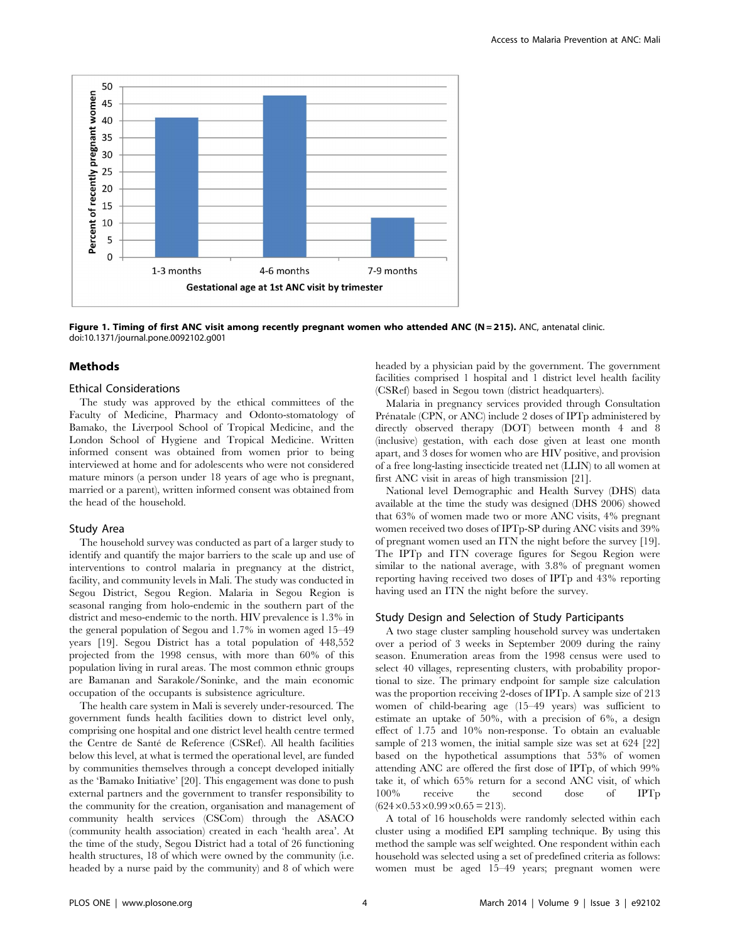

Figure 1. Timing of first ANC visit among recently pregnant women who attended ANC (N = 215). ANC, antenatal clinic. doi:10.1371/journal.pone.0092102.g001

#### Methods

#### Ethical Considerations

The study was approved by the ethical committees of the Faculty of Medicine, Pharmacy and Odonto-stomatology of Bamako, the Liverpool School of Tropical Medicine, and the London School of Hygiene and Tropical Medicine. Written informed consent was obtained from women prior to being interviewed at home and for adolescents who were not considered mature minors (a person under 18 years of age who is pregnant, married or a parent), written informed consent was obtained from the head of the household.

#### Study Area

The household survey was conducted as part of a larger study to identify and quantify the major barriers to the scale up and use of interventions to control malaria in pregnancy at the district, facility, and community levels in Mali. The study was conducted in Segou District, Segou Region. Malaria in Segou Region is seasonal ranging from holo-endemic in the southern part of the district and meso-endemic to the north. HIV prevalence is 1.3% in the general population of Segou and 1.7% in women aged 15–49 years [19]. Segou District has a total population of 448,552 projected from the 1998 census, with more than 60% of this population living in rural areas. The most common ethnic groups are Bamanan and Sarakole/Soninke, and the main economic occupation of the occupants is subsistence agriculture.

The health care system in Mali is severely under-resourced. The government funds health facilities down to district level only, comprising one hospital and one district level health centre termed the Centre de Sante´ de Reference (CSRef). All health facilities below this level, at what is termed the operational level, are funded by communities themselves through a concept developed initially as the 'Bamako Initiative' [20]. This engagement was done to push external partners and the government to transfer responsibility to the community for the creation, organisation and management of community health services (CSCom) through the ASACO (community health association) created in each 'health area'. At the time of the study, Segou District had a total of 26 functioning health structures, 18 of which were owned by the community (i.e. headed by a nurse paid by the community) and 8 of which were

headed by a physician paid by the government. The government facilities comprised 1 hospital and 1 district level health facility (CSRef) based in Segou town (district headquarters).

Malaria in pregnancy services provided through Consultation Prénatale (CPN, or ANC) include 2 doses of IPTp administered by directly observed therapy (DOT) between month 4 and 8 (inclusive) gestation, with each dose given at least one month apart, and 3 doses for women who are HIV positive, and provision of a free long-lasting insecticide treated net (LLIN) to all women at first ANC visit in areas of high transmission [21].

National level Demographic and Health Survey (DHS) data available at the time the study was designed (DHS 2006) showed that 63% of women made two or more ANC visits, 4% pregnant women received two doses of IPTp-SP during ANC visits and 39% of pregnant women used an ITN the night before the survey [19]. The IPTp and ITN coverage figures for Segou Region were similar to the national average, with 3.8% of pregnant women reporting having received two doses of IPTp and 43% reporting having used an ITN the night before the survey.

#### Study Design and Selection of Study Participants

A two stage cluster sampling household survey was undertaken over a period of 3 weeks in September 2009 during the rainy season. Enumeration areas from the 1998 census were used to select 40 villages, representing clusters, with probability proportional to size. The primary endpoint for sample size calculation was the proportion receiving 2-doses of IPTp. A sample size of 213 women of child-bearing age (15–49 years) was sufficient to estimate an uptake of 50%, with a precision of 6%, a design effect of 1.75 and 10% non-response. To obtain an evaluable sample of 213 women, the initial sample size was set at 624 [22] based on the hypothetical assumptions that 53% of women attending ANC are offered the first dose of IPTp, of which 99% take it, of which 65% return for a second ANC visit, of which 100% receive the second dose of IPTD 100% receive the second dose of IPTp  $(624 \times 0.53 \times 0.99 \times 0.65 = 213).$ 

A total of 16 households were randomly selected within each cluster using a modified EPI sampling technique. By using this method the sample was self weighted. One respondent within each household was selected using a set of predefined criteria as follows: women must be aged 15–49 years; pregnant women were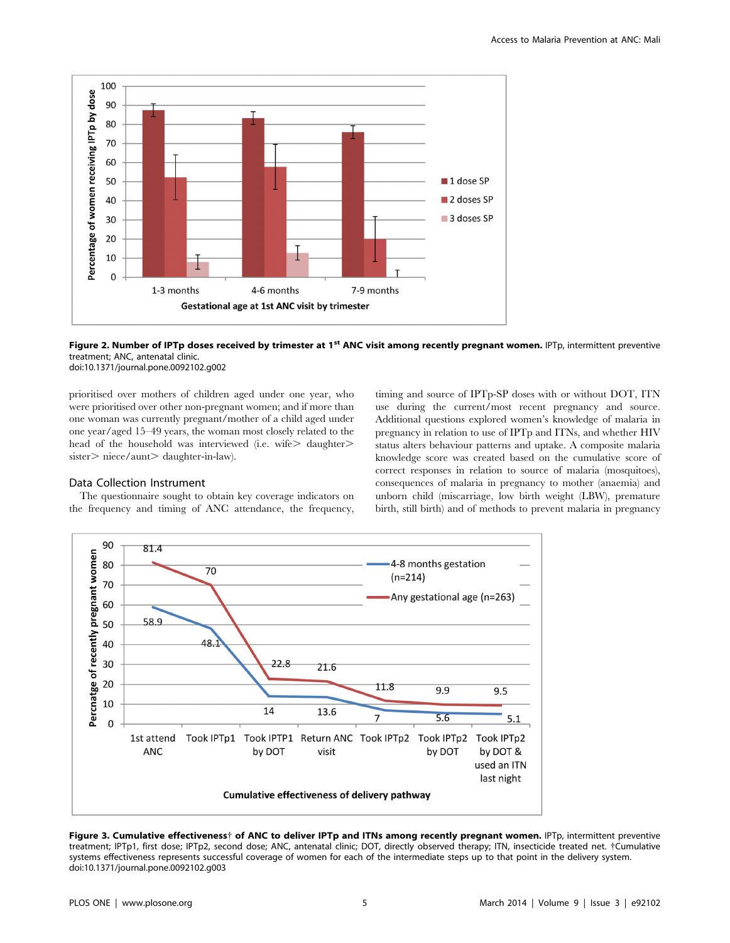

Figure 2. Number of IPTp doses received by trimester at 1<sup>st</sup> ANC visit among recently pregnant women. IPTp, intermittent preventive treatment; ANC, antenatal clinic. doi:10.1371/journal.pone.0092102.g002

prioritised over mothers of children aged under one year, who were prioritised over other non-pregnant women; and if more than one woman was currently pregnant/mother of a child aged under one year/aged 15–49 years, the woman most closely related to the head of the household was interviewed (i.e. wife $>$  daughter $>$  $sister$  niece/aunt aughter-in-law).

#### Data Collection Instrument

The questionnaire sought to obtain key coverage indicators on the frequency and timing of ANC attendance, the frequency, timing and source of IPTp-SP doses with or without DOT, ITN use during the current/most recent pregnancy and source. Additional questions explored women's knowledge of malaria in pregnancy in relation to use of IPTp and ITNs, and whether HIV status alters behaviour patterns and uptake. A composite malaria knowledge score was created based on the cumulative score of correct responses in relation to source of malaria (mosquitoes), consequences of malaria in pregnancy to mother (anaemia) and unborn child (miscarriage, low birth weight (LBW), premature birth, still birth) and of methods to prevent malaria in pregnancy



Figure 3. Cumulative effectiveness† of ANC to deliver IPTp and ITNs among recently pregnant women. IPTp, intermittent preventive treatment; IPTp1, first dose; IPTp2, second dose; ANC, antenatal clinic; DOT, directly observed therapy; ITN, insecticide treated net. {Cumulative systems effectiveness represents successful coverage of women for each of the intermediate steps up to that point in the delivery system. doi:10.1371/journal.pone.0092102.g003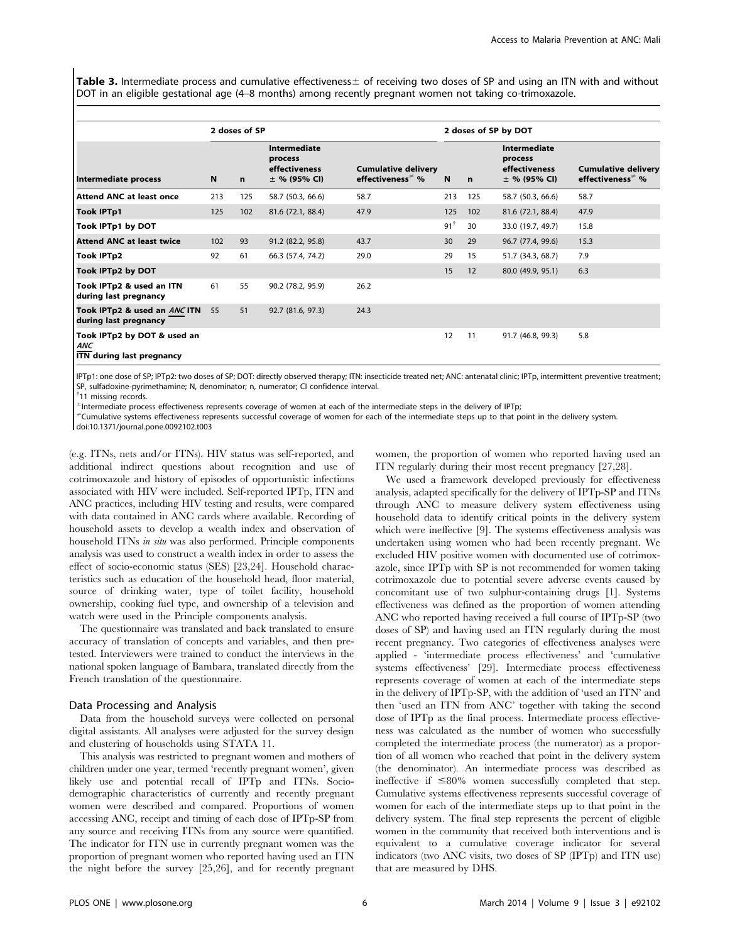Table 3. Intermediate process and cumulative effectiveness $\pm$  of receiving two doses of SP and using an ITN with and without DOT in an eligible gestational age (4–8 months) among recently pregnant women not taking co-trimoxazole.

|                                                                        |     | 2 doses of SP |                                                            |                                                      |                |             | 2 doses of SP by DOT                                              |                                                      |
|------------------------------------------------------------------------|-----|---------------|------------------------------------------------------------|------------------------------------------------------|----------------|-------------|-------------------------------------------------------------------|------------------------------------------------------|
| Intermediate process                                                   | N   | $\mathbf n$   | Intermediate<br>process<br>effectiveness<br>$±$ % (95% CI) | <b>Cumulative delivery</b><br>effectiveness $\neq$ % | $\mathbf N$    | $\mathbf n$ | <b>Intermediate</b><br>process<br>effectiveness<br>$±$ % (95% CI) | <b>Cumulative delivery</b><br>effectiveness $\neq$ % |
| <b>Attend ANC at least once</b>                                        | 213 | 125           | 58.7 (50.3, 66.6)                                          | 58.7                                                 | 213            | 125         | 58.7 (50.3, 66.6)                                                 | 58.7                                                 |
| <b>Took IPTp1</b>                                                      | 125 | 102           | 81.6 (72.1, 88.4)                                          | 47.9                                                 | 125            | 102         | 81.6 (72.1, 88.4)                                                 | 47.9                                                 |
| Took IPTp1 by DOT                                                      |     |               |                                                            |                                                      | $91^{\dagger}$ | 30          | 33.0 (19.7, 49.7)                                                 | 15.8                                                 |
| <b>Attend ANC at least twice</b>                                       | 102 | 93            | 91.2 (82.2, 95.8)                                          | 43.7                                                 | 30             | 29          | 96.7 (77.4, 99.6)                                                 | 15.3                                                 |
| <b>Took IPTp2</b>                                                      | 92  | 61            | 66.3 (57.4, 74.2)                                          | 29.0                                                 | 29             | 15          | 51.7 (34.3, 68.7)                                                 | 7.9                                                  |
| Took IPTp2 by DOT                                                      |     |               |                                                            |                                                      | 15             | 12          | 80.0 (49.9, 95.1)                                                 | 6.3                                                  |
| Took IPTp2 & used an ITN<br>during last pregnancy                      | 61  | 55            | 90.2 (78.2, 95.9)                                          | 26.2                                                 |                |             |                                                                   |                                                      |
| Took IPTp2 & used an ANCITN 55<br>during last pregnancy                |     | 51            | 92.7 (81.6, 97.3)                                          | 24.3                                                 |                |             |                                                                   |                                                      |
| Took IPTp2 by DOT & used an<br><b>ANC</b><br>ITN during last pregnancy |     |               |                                                            |                                                      | 12             | 11          | 91.7 (46.8, 99.3)                                                 | 5.8                                                  |

IPTp1: one dose of SP; IPTp2: two doses of SP; DOT: directly observed therapy; ITN: insecticide treated net; ANC: antenatal clinic; IPTp, intermittent preventive treatment; SP, sulfadoxine-pyrimethamine; N, denominator; n, numerator; CI confidence interval.

<sup>†</sup>11 missing records.

 $^{\pm}$ Intermediate process effectiveness represents coverage of women at each of the intermediate steps in the delivery of IPTp;

?Cumulative systems effectiveness represents successful coverage of women for each of the intermediate steps up to that point in the delivery system.

doi:10.1371/journal.pone.0092102.t003

(e.g. ITNs, nets and/or ITNs). HIV status was self-reported, and additional indirect questions about recognition and use of cotrimoxazole and history of episodes of opportunistic infections associated with HIV were included. Self-reported IPTp, ITN and ANC practices, including HIV testing and results, were compared with data contained in ANC cards where available. Recording of household assets to develop a wealth index and observation of household ITNs in situ was also performed. Principle components analysis was used to construct a wealth index in order to assess the effect of socio-economic status (SES) [23,24]. Household characteristics such as education of the household head, floor material, source of drinking water, type of toilet facility, household ownership, cooking fuel type, and ownership of a television and watch were used in the Principle components analysis.

The questionnaire was translated and back translated to ensure accuracy of translation of concepts and variables, and then pretested. Interviewers were trained to conduct the interviews in the national spoken language of Bambara, translated directly from the French translation of the questionnaire.

#### Data Processing and Analysis

Data from the household surveys were collected on personal digital assistants. All analyses were adjusted for the survey design and clustering of households using STATA 11.

This analysis was restricted to pregnant women and mothers of children under one year, termed 'recently pregnant women', given likely use and potential recall of IPTp and ITNs. Sociodemographic characteristics of currently and recently pregnant women were described and compared. Proportions of women accessing ANC, receipt and timing of each dose of IPTp-SP from any source and receiving ITNs from any source were quantified. The indicator for ITN use in currently pregnant women was the proportion of pregnant women who reported having used an ITN the night before the survey [25,26], and for recently pregnant women, the proportion of women who reported having used an ITN regularly during their most recent pregnancy [27,28].

We used a framework developed previously for effectiveness analysis, adapted specifically for the delivery of IPTp-SP and ITNs through ANC to measure delivery system effectiveness using household data to identify critical points in the delivery system which were ineffective [9]. The systems effectiveness analysis was undertaken using women who had been recently pregnant. We excluded HIV positive women with documented use of cotrimoxazole, since IPTp with SP is not recommended for women taking cotrimoxazole due to potential severe adverse events caused by concomitant use of two sulphur-containing drugs [1]. Systems effectiveness was defined as the proportion of women attending ANC who reported having received a full course of IPTp-SP (two doses of SP) and having used an ITN regularly during the most recent pregnancy. Two categories of effectiveness analyses were applied - 'intermediate process effectiveness' and 'cumulative systems effectiveness' [29]. Intermediate process effectiveness represents coverage of women at each of the intermediate steps in the delivery of IPTp-SP, with the addition of 'used an ITN' and then 'used an ITN from ANC' together with taking the second dose of IPTp as the final process. Intermediate process effectiveness was calculated as the number of women who successfully completed the intermediate process (the numerator) as a proportion of all women who reached that point in the delivery system (the denominator). An intermediate process was described as ineffective if  $\leq 80\%$  women successfully completed that step. Cumulative systems effectiveness represents successful coverage of women for each of the intermediate steps up to that point in the delivery system. The final step represents the percent of eligible women in the community that received both interventions and is equivalent to a cumulative coverage indicator for several indicators (two ANC visits, two doses of SP (IPTp) and ITN use) that are measured by DHS.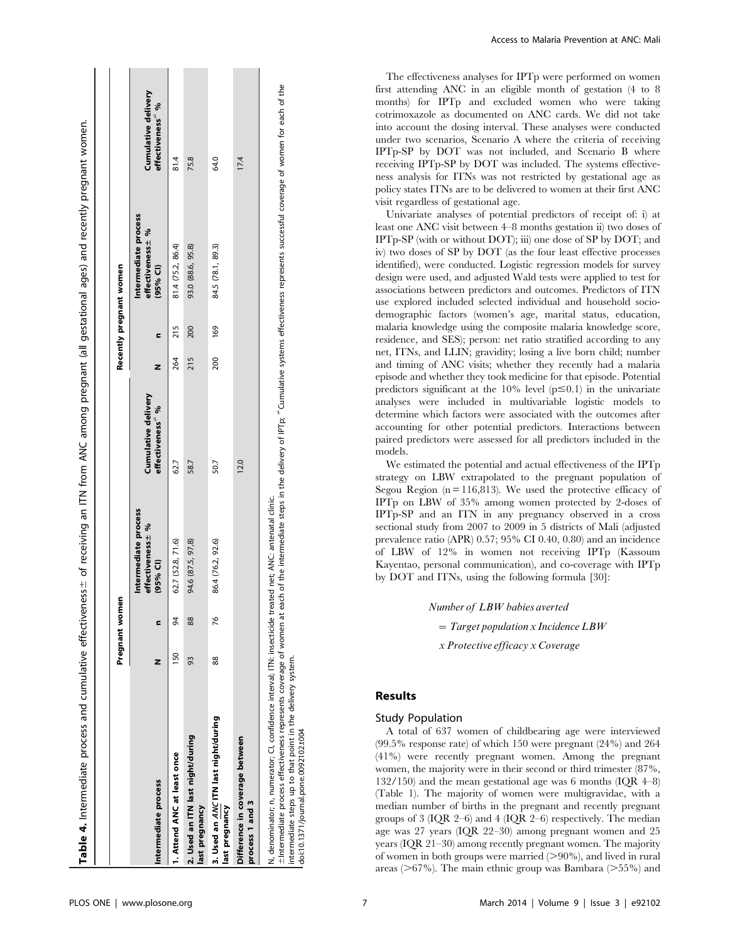|                                                                                                                                                                                                                                                                                                                                                                                                                                                       |     | Pregnant women |                                                         |                                                     |     |     | Recently pregnant women                               |                                                     |
|-------------------------------------------------------------------------------------------------------------------------------------------------------------------------------------------------------------------------------------------------------------------------------------------------------------------------------------------------------------------------------------------------------------------------------------------------------|-----|----------------|---------------------------------------------------------|-----------------------------------------------------|-----|-----|-------------------------------------------------------|-----------------------------------------------------|
| Intermediate process                                                                                                                                                                                                                                                                                                                                                                                                                                  | z   | c              | Intermediate process<br>effectiveness ± %<br>$(95%$ CI) | Cumulative delivery<br>effectiveness <sup>®</sup> % | z   | c   | Intermediate process<br>effectiveness ± %<br>(95% CI) | Cumulative delivery<br>effectiveness <sup>7</sup> % |
| 1. Attend ANC at least once                                                                                                                                                                                                                                                                                                                                                                                                                           | 150 | æ              | 62.7 (52.8, 71.6)                                       | 62.7                                                | 264 | 215 | 81.4 (75.2, 86.4)                                     | 81.4                                                |
| 2. Used an ITN last night/during<br>last pregnancy                                                                                                                                                                                                                                                                                                                                                                                                    | 93  | 88             | 94.6 (87.5, 97,8)                                       | 58.7                                                | 215 | 200 | 93.0 (88.6, 95.8)                                     | 75.8                                                |
| 3. Used an ANC ITN last night/during<br>last pregnancy                                                                                                                                                                                                                                                                                                                                                                                                | 88  | 76             | 86.4 (76.2, 92.6)                                       | 50.7                                                | 200 | 169 | 84.5 (78.1, 89.3)                                     | 64.0                                                |
| Difference in coverage between<br>process 1 and 3                                                                                                                                                                                                                                                                                                                                                                                                     |     |                |                                                         | 12.0                                                |     |     |                                                       | 17.4                                                |
| $\pm$ Intermediate process effectiveness represents coverage of women at each of the intermediate steps in the delivery of IPTp; $^*$ Cumulative systems effectiveness represents successful coverage of women for each of the<br>N, denominator; n, numerator; CI, confidence interval; ITN: insecticide treated net; ANC: antenatal clinic.<br>intermediate steps up to that point in the delivery system.<br>doi:10.1371/journal.pone.0092102.t004 |     |                |                                                         |                                                     |     |     |                                                       |                                                     |

Access to Malaria Prevention at ANC: Mali

The effectiveness analyses for IPTp were performed on women first attending ANC in an eligible month of gestation (4 to 8 months) for IPTp and excluded women who were taking cotrimoxazole as documented on ANC cards. We did not take into account the dosing interval. These analyses were conducted under two scenarios, Scenario A where the criteria of receiving IPTp-SP by DOT was not included, and Scenario B where receiving IPTp-SP by DOT was included. The systems effectiveness analysis for ITNs was not restricted by gestational age as policy states ITNs are to be delivered to women at their first ANC visit regardless of gestational age.

Univariate analyses of potential predictors of receipt of: i) at least one ANC visit between 4–8 months gestation ii) two doses of IPTp-SP (with or without DOT); iii) one dose of SP by DOT; and iv) two doses of SP by DOT (as the four least effective processes identified), were conducted. Logistic regression models for survey design were used, and adjusted Wald tests were applied to test for associations between predictors and outcomes. Predictors of ITN use explored included selected individual and household sociodemographic factors (women's age, marital status, education, malaria knowledge using the composite malaria knowledge score, residence, and SES); person: net ratio stratified according to any net, ITNs, and LLIN; gravidity; losing a live born child; number and timing of ANC visits; whether they recently had a malaria episode and whether they took medicine for that episode. Potential predictors significant at the 10% level  $(p \le 0.1)$  in the univariate analyses were included in multivariable logistic models to determine which factors were associated with the outcomes after accounting for other potential predictors. Interactions between paired predictors were assessed for all predictors included in the models.

We estimated the potential and actual effectiveness of the IPTp strategy on LBW extrapolated to the pregnant population of Segou Region  $(n = 116,813)$ . We used the protective efficacy of IPTp on LBW of 35% among women protected by 2-doses of IPTp-SP and an ITN in any pregnancy observed in a cross sectional study from 2007 to 2009 in 5 districts of Mali (adjusted prevalence ratio (APR) 0.57; 95% CI 0.40, 0.80) and an incidence of LBW of 12% in women not receiving IPTp (Kassoum Kayentao, personal communication), and co-coverage with IPTp by DOT and ITNs, using the following formula [30]:

Number of LBW babies averted

 $= Target population x Incidence LBW$ 

x Protective efficacy x Coverage

# Results

# Study Population

A total of 637 women of childbearing age were interviewed (99.5% response rate) of which 150 were pregnant (24%) and 264 (41%) were recently pregnant women. Among the pregnant women, the majority were in their second or third trimester (87%, 132/150) and the mean gestational age was 6 months  $(IQR 4-8)$ (Table 1). The majority of women were multigravidae, with a median number of births in the pregnant and recently pregnant groups of 3 (IQR 2–6) and 4 (IQR 2–6) respectively. The median age was 27 years (IQR 22–30) among pregnant women and 25 years (IQR 21–30) among recently pregnant women. The majority of women in both groups were married  $(>90\%)$ , and lived in rural areas ( $>67\%$ ). The main ethnic group was Bambara ( $>55\%$ ) and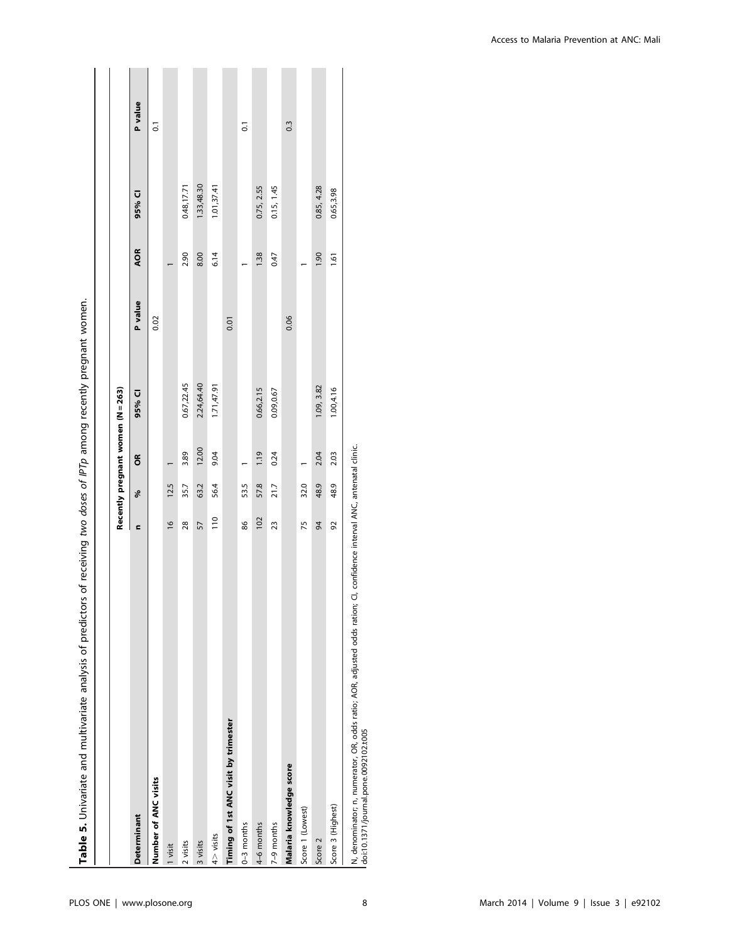| Table 5. Univariate and multivariate analysis of predictors of receiving two doses of IPTp among recently pregnant women. |               |      |                                   |            |         |            |             |                  |
|---------------------------------------------------------------------------------------------------------------------------|---------------|------|-----------------------------------|------------|---------|------------|-------------|------------------|
|                                                                                                                           |               |      |                                   |            |         |            |             |                  |
|                                                                                                                           |               |      | Recently pregnant women (N = 263) |            |         |            |             |                  |
| <b>Determinant</b>                                                                                                        | c             | ್ಲೇ  | õ                                 | 95% CI     | P value | <b>AOR</b> | 95% CI      | P value          |
| Number of ANC visits                                                                                                      |               |      |                                   |            | 0.02    |            |             | $\overline{0}$   |
| l visit                                                                                                                   | $\frac{1}{2}$ | 12.5 |                                   |            |         |            |             |                  |
| 2 visits                                                                                                                  | 28            | 35.7 | 3.89                              | 0.67,22.45 |         | 2.90       | 0.48, 17.71 |                  |
| 3 visits                                                                                                                  | 57            | 63.2 | 12.00                             | 2.24,64.40 |         | 8.00       | 1.33,48.30  |                  |
| $4$ $>$ visits                                                                                                            | 110           | 56.4 | 9.04                              | 1.71,47.91 |         | 6.14       | 1.01,37.41  |                  |
| Timing of 1st ANC visit by trimester                                                                                      |               |      |                                   |            | 0.01    |            |             |                  |
| $0-3$ months                                                                                                              | 86            | 53.5 |                                   |            |         |            |             | $\overline{0}$   |
| 4–6 months                                                                                                                | 102           | 57.8 | 1.19                              | 0.66,2.15  |         | 1.38       | 0.75, 2.55  |                  |
| 7-9 months                                                                                                                | 23            | 21.7 | 0.24                              | 0.09,0.67  |         | 0.47       | 0.15, 1.45  |                  |
| Malaria knowledge score                                                                                                   |               |      |                                   |            | 0.06    |            |             | $0.\overline{3}$ |
| Score 1 (Lowest)                                                                                                          | 75            | 32.0 |                                   |            |         |            |             |                  |
| Score 2                                                                                                                   | 34            | 48.9 | 2.04                              | 1.09, 3.82 |         | 1.90       | 0.85, 4.28  |                  |
| Score 3 (Highest)                                                                                                         | 92            | 48.9 | 2.03                              | 1.00,4.16  |         | 1.61       | 0.65,3.98   |                  |
| N, denominator; n, numerator, OR, odds ratio; AOR, adjusted odds ration; CI, confidence interval ANC, antenatal clinic.   |               |      |                                   |            |         |            |             |                  |

| N, denominator; n, numerator, OR, odds ratio; AOR, adju<br>| doi:10.1371/journal.pone.0092102.t005

doi:10.1371/journal.pone.0092102.t005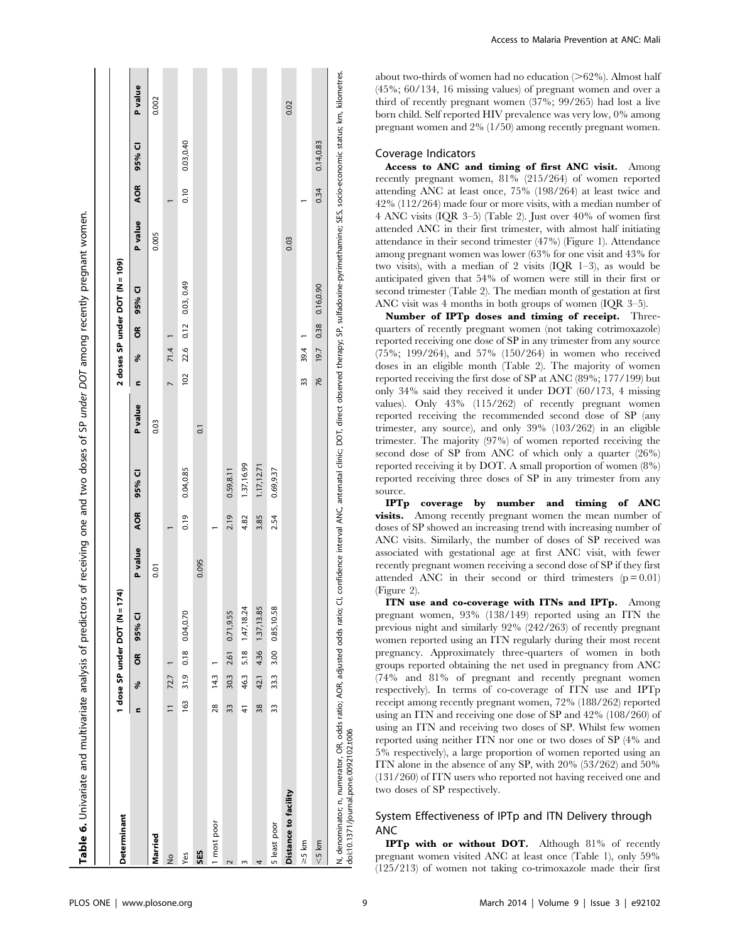| 0.04,0.70<br>0.71,9.55<br>95% CI<br>0.18<br>2.61<br>õ<br>30.3<br>31.9<br>72.7<br>14.3<br>శ<br>163<br>28<br>33<br>$\equiv$<br>c<br>1 most poor<br>Married<br>SES<br>Yes<br>$\frac{1}{2}$<br>$\overline{\mathsf{C}}$ | P value<br>0.01 |            |                         |                |                  | 2 doses SP under DOT (N = 109) |         |            |           |         |
|--------------------------------------------------------------------------------------------------------------------------------------------------------------------------------------------------------------------|-----------------|------------|-------------------------|----------------|------------------|--------------------------------|---------|------------|-----------|---------|
|                                                                                                                                                                                                                    |                 | <b>AOR</b> | P value<br><b>D</b> %56 | c              | $\tilde{6}$<br>శ | 95% CI                         | P value | <b>AOR</b> | 95% CI    | P value |
|                                                                                                                                                                                                                    |                 |            | 0.03                    |                |                  |                                | 0.005   |            |           | 0.002   |
|                                                                                                                                                                                                                    |                 |            |                         | $\overline{a}$ | 71.4             |                                |         |            |           |         |
|                                                                                                                                                                                                                    |                 | 0.19       | 0.04,0.85               | 102            | 0.12<br>22.6     | 0.03, 0.49                     |         | 0.10       | 0.03,0.40 |         |
|                                                                                                                                                                                                                    | 0.095           |            | $\overline{0}$ .        |                |                  |                                |         |            |           |         |
|                                                                                                                                                                                                                    |                 |            |                         |                |                  |                                |         |            |           |         |
|                                                                                                                                                                                                                    |                 | 2.19       | 0.59,8.11               |                |                  |                                |         |            |           |         |
| 5.18 1.47,18.24<br>46.3<br>41<br>$\sim$                                                                                                                                                                            |                 | 4.82       | 1.37,16.99              |                |                  |                                |         |            |           |         |
| 4.36 1.37, 13.85<br>42.1<br>38<br>4                                                                                                                                                                                |                 | 3.85       | 1.17,12.71              |                |                  |                                |         |            |           |         |
| 0.85,10.58<br>3.00<br>33.3<br>33<br>5 least poor                                                                                                                                                                   |                 | 2.54       | 0.69,9.37               |                |                  |                                |         |            |           |         |
| Distance to facility                                                                                                                                                                                               |                 |            |                         |                |                  |                                | 0.03    |            |           | 0.02    |
| $\geq$ 5 km                                                                                                                                                                                                        |                 |            |                         | 33             | 39.4             |                                |         |            |           |         |
| $<$ 5 km                                                                                                                                                                                                           |                 |            |                         | 76             | 0.38<br>19.7     | 0.16,0.90                      |         | 0.34       | 0.14,0.83 |         |

 $\blacksquare$ 

 $\mathbf{I}$ 

**Contract** 

about two-thirds of women had no education  $(>\!62\%)$ . Almost half (45%; 60/134, 16 missing values) of pregnant women and over a third of recently pregnant women (37%; 99/265) had lost a live born child. Self reported HIV prevalence was very low, 0% among pregnant women and 2% (1/50) among recently pregnant women.

#### Coverage Indicators

**Contractor** 

Access to ANC and timing of first ANC visit. Among recently pregnant women, 81% (215/264) of women reported attending ANC at least once, 75% (198/264) at least twice and 42% (112/264) made four or more visits, with a median number of 4 ANC visits (IQR 3–5) (Table 2). Just over 40% of women first attended ANC in their first trimester, with almost half initiating attendance in their second trimester (47%) (Figure 1). Attendance among pregnant women was lower (63% for one visit and 43% for two visits), with a median of 2 visits (IQR 1–3), as would be anticipated given that 54% of women were still in their first or second trimester (Table 2). The median month of gestation at first ANC visit was 4 months in both groups of women (IQR 3–5).

Number of IPTp doses and timing of receipt. Threequarters of recently pregnant women (not taking cotrimoxazole) reported receiving one dose of SP in any trimester from any source (75%; 199/264), and 57% (150/264) in women who received doses in an eligible month (Table 2). The majority of women reported receiving the first dose of SP at ANC (89%; 177/199) but only 34% said they received it under DOT (60/173, 4 missing values). Only 43% (115/262) of recently pregnant women reported receiving the recommended second dose of SP (any trimester, any source), and only 39% (103/262) in an eligible trimester. The majority (97%) of women reported receiving the second dose of SP from ANC of which only a quarter (26%) reported receiving it by DOT. A small proportion of women (8%) reported receiving three doses of SP in any trimester from any source.

IPTp coverage by number and timing of ANC visits. Among recently pregnant women the mean number of doses of SP showed an increasing trend with increasing number of ANC visits. Similarly, the number of doses of SP received was associated with gestational age at first ANC visit, with fewer recently pregnant women receiving a second dose of SP if they first attended ANC in their second or third trimesters  $(p = 0.01)$ (Figure 2).

ITN use and co-coverage with ITNs and IPTp. Among pregnant women, 93% (138/149) reported using an ITN the previous night and similarly 92% (242/263) of recently pregnant women reported using an ITN regularly during their most recent pregnancy. Approximately three-quarters of women in both groups reported obtaining the net used in pregnancy from ANC (74% and 81% of pregnant and recently pregnant women respectively). In terms of co-coverage of ITN use and IPTp receipt among recently pregnant women, 72% (188/262) reported using an ITN and receiving one dose of SP and 42% (108/260) of using an ITN and receiving two doses of SP. Whilst few women reported using neither ITN nor one or two doses of SP (4% and 5% respectively), a large proportion of women reported using an ITN alone in the absence of any SP, with 20% (53/262) and 50% (131/260) of ITN users who reported not having received one and two doses of SP respectively.

# System Effectiveness of IPTp and ITN Delivery through ANC

IPTp with or without DOT. Although 81% of recently pregnant women visited ANC at least once (Table 1), only 59% (125/213) of women not taking co-trimoxazole made their first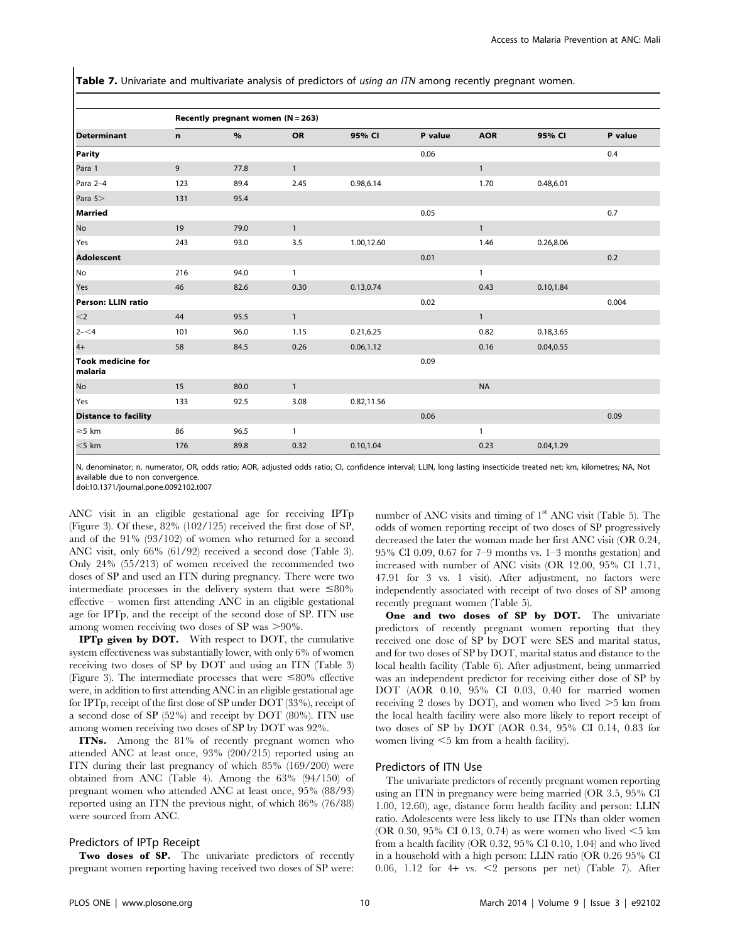Table 7. Univariate and multivariate analysis of predictors of using an ITN among recently pregnant women.

|                                     |     | Recently pregnant women (N = 263) |              |            |         |              |            |         |
|-------------------------------------|-----|-----------------------------------|--------------|------------|---------|--------------|------------|---------|
| <b>Determinant</b>                  | n   | %                                 | <b>OR</b>    | 95% CI     | P value | <b>AOR</b>   | 95% CI     | P value |
| <b>Parity</b>                       |     |                                   |              |            | 0.06    |              |            | 0.4     |
| Para 1                              | 9   | 77.8                              | $\mathbf{1}$ |            |         | $\mathbf{1}$ |            |         |
| Para 2-4                            | 123 | 89.4                              | 2.45         | 0.98,6.14  |         | 1.70         | 0.48,6.01  |         |
| Para 5>                             | 131 | 95.4                              |              |            |         |              |            |         |
| <b>Married</b>                      |     |                                   |              |            | 0.05    |              |            | 0.7     |
| No                                  | 19  | 79.0                              | $\mathbf{1}$ |            |         | $\mathbf{1}$ |            |         |
| Yes                                 | 243 | 93.0                              | 3.5          | 1.00,12.60 |         | 1.46         | 0.26,8.06  |         |
| <b>Adolescent</b>                   |     |                                   |              |            | 0.01    |              |            | 0.2     |
| No                                  | 216 | 94.0                              | $\mathbf{1}$ |            |         | $\mathbf{1}$ |            |         |
| Yes                                 | 46  | 82.6                              | 0.30         | 0.13,0.74  |         | 0.43         | 0.10, 1.84 |         |
| <b>Person: LLIN ratio</b>           |     |                                   |              |            | 0.02    |              |            | 0.004   |
| $<$ 2                               | 44  | 95.5                              | $\mathbf{1}$ |            |         | $\mathbf{1}$ |            |         |
| $2 - 4$                             | 101 | 96.0                              | 1.15         | 0.21, 6.25 |         | 0.82         | 0.18,3.65  |         |
| $4+$                                | 58  | 84.5                              | 0.26         | 0.06, 1.12 |         | 0.16         | 0.04, 0.55 |         |
| <b>Took medicine for</b><br>malaria |     |                                   |              |            | 0.09    |              |            |         |
| No                                  | 15  | 80.0                              | $\mathbf{1}$ |            |         | <b>NA</b>    |            |         |
| Yes                                 | 133 | 92.5                              | 3.08         | 0.82,11.56 |         |              |            |         |
| <b>Distance to facility</b>         |     |                                   |              |            | 0.06    |              |            | 0.09    |
| $\geq$ 5 km                         | 86  | 96.5                              | $\mathbf{1}$ |            |         | $\mathbf{1}$ |            |         |
| $<$ 5 km                            | 176 | 89.8                              | 0.32         | 0.10, 1.04 |         | 0.23         | 0.04, 1.29 |         |

N, denominator; n, numerator, OR, odds ratio; AOR, adjusted odds ratio; CI, confidence interval; LLIN, long lasting insecticide treated net; km, kilometres; NA, Not available due to non convergence.

doi:10.1371/journal.pone.0092102.t007

ANC visit in an eligible gestational age for receiving IPTp (Figure 3). Of these, 82% (102/125) received the first dose of SP, and of the 91% (93/102) of women who returned for a second ANC visit, only 66% (61/92) received a second dose (Table 3). Only 24% (55/213) of women received the recommended two doses of SP and used an ITN during pregnancy. There were two intermediate processes in the delivery system that were  $\leq 80\%$ effective – women first attending ANC in an eligible gestational age for IPTp, and the receipt of the second dose of SP. ITN use among women receiving two doses of SP was  $>90\%$ .

IPTp given by DOT. With respect to DOT, the cumulative system effectiveness was substantially lower, with only 6% of women receiving two doses of SP by DOT and using an ITN (Table 3) (Figure 3). The intermediate processes that were  $\leq 80\%$  effective were, in addition to first attending ANC in an eligible gestational age for IPTp, receipt of the first dose of SP under DOT (33%), receipt of a second dose of SP (52%) and receipt by DOT (80%). ITN use among women receiving two doses of SP by DOT was 92%.

ITNs. Among the 81% of recently pregnant women who attended ANC at least once, 93% (200/215) reported using an ITN during their last pregnancy of which 85% (169/200) were obtained from ANC (Table 4). Among the 63% (94/150) of pregnant women who attended ANC at least once, 95% (88/93) reported using an ITN the previous night, of which 86% (76/88) were sourced from ANC.

#### Predictors of IPTp Receipt

Two doses of SP. The univariate predictors of recently pregnant women reporting having received two doses of SP were:

number of ANC visits and timing of  $1<sup>st</sup>$  ANC visit (Table 5). The odds of women reporting receipt of two doses of SP progressively decreased the later the woman made her first ANC visit (OR 0.24, 95% CI 0.09, 0.67 for 7–9 months vs. 1–3 months gestation) and increased with number of ANC visits (OR 12.00, 95% CI 1.71, 47.91 for 3 vs. 1 visit). After adjustment, no factors were independently associated with receipt of two doses of SP among recently pregnant women (Table 5).

One and two doses of SP by DOT. The univariate predictors of recently pregnant women reporting that they received one dose of SP by DOT were SES and marital status, and for two doses of SP by DOT, marital status and distance to the local health facility (Table 6). After adjustment, being unmarried was an independent predictor for receiving either dose of SP by DOT (AOR 0.10, 95% CI 0.03, 0.40 for married women receiving 2 doses by DOT), and women who lived  $>5$  km from the local health facility were also more likely to report receipt of two doses of SP by DOT (AOR 0.34, 95% CI 0.14, 0.83 for women living  $<$  5 km from a health facility).

# Predictors of ITN Use

The univariate predictors of recently pregnant women reporting using an ITN in pregnancy were being married (OR 3.5, 95% CI 1.00, 12.60), age, distance form health facility and person: LLIN ratio. Adolescents were less likely to use ITNs than older women (OR 0.30, 95% CI 0.13, 0.74) as were women who lived  $\leq$ 5 km from a health facility (OR 0.32, 95% CI 0.10, 1.04) and who lived in a household with a high person: LLIN ratio (OR 0.26 95% CI 0.06, 1.12 for  $4+$  vs.  $\leq$  persons per net) (Table 7). After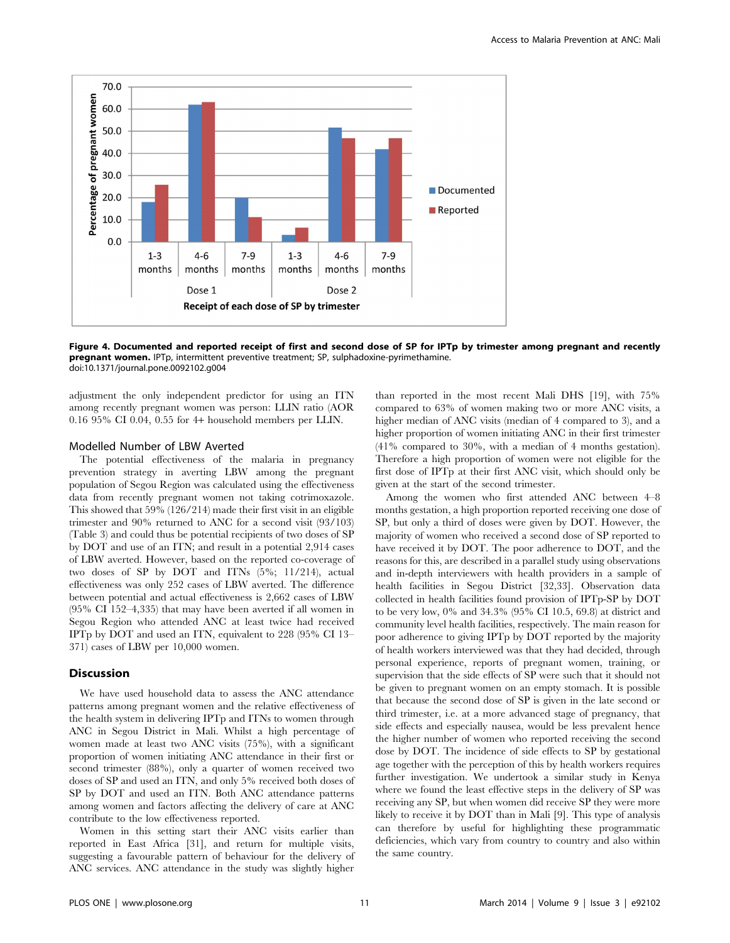

Figure 4. Documented and reported receipt of first and second dose of SP for IPTp by trimester among pregnant and recently pregnant women. IPTp, intermittent preventive treatment; SP, sulphadoxine-pyrimethamine. doi:10.1371/journal.pone.0092102.g004

adjustment the only independent predictor for using an ITN among recently pregnant women was person: LLIN ratio (AOR 0.16 95% CI 0.04, 0.55 for 4+ household members per LLIN.

# Modelled Number of LBW Averted

The potential effectiveness of the malaria in pregnancy prevention strategy in averting LBW among the pregnant population of Segou Region was calculated using the effectiveness data from recently pregnant women not taking cotrimoxazole. This showed that 59% (126/214) made their first visit in an eligible trimester and 90% returned to ANC for a second visit (93/103) (Table 3) and could thus be potential recipients of two doses of SP by DOT and use of an ITN; and result in a potential 2,914 cases of LBW averted. However, based on the reported co-coverage of two doses of SP by DOT and ITNs (5%; 11/214), actual effectiveness was only 252 cases of LBW averted. The difference between potential and actual effectiveness is 2,662 cases of LBW (95% CI 152–4,335) that may have been averted if all women in Segou Region who attended ANC at least twice had received IPTp by DOT and used an ITN, equivalent to 228 (95% CI 13– 371) cases of LBW per 10,000 women.

# **Discussion**

We have used household data to assess the ANC attendance patterns among pregnant women and the relative effectiveness of the health system in delivering IPTp and ITNs to women through ANC in Segou District in Mali. Whilst a high percentage of women made at least two ANC visits (75%), with a significant proportion of women initiating ANC attendance in their first or second trimester (88%), only a quarter of women received two doses of SP and used an ITN, and only 5% received both doses of SP by DOT and used an ITN. Both ANC attendance patterns among women and factors affecting the delivery of care at ANC contribute to the low effectiveness reported.

Women in this setting start their ANC visits earlier than reported in East Africa [31], and return for multiple visits, suggesting a favourable pattern of behaviour for the delivery of ANC services. ANC attendance in the study was slightly higher

than reported in the most recent Mali DHS [19], with 75% compared to 63% of women making two or more ANC visits, a higher median of ANC visits (median of 4 compared to 3), and a higher proportion of women initiating ANC in their first trimester (41% compared to 30%, with a median of 4 months gestation). Therefore a high proportion of women were not eligible for the first dose of IPTp at their first ANC visit, which should only be given at the start of the second trimester.

Among the women who first attended ANC between 4–8 months gestation, a high proportion reported receiving one dose of SP, but only a third of doses were given by DOT. However, the majority of women who received a second dose of SP reported to have received it by DOT. The poor adherence to DOT, and the reasons for this, are described in a parallel study using observations and in-depth interviewers with health providers in a sample of health facilities in Segou District [32,33]. Observation data collected in health facilities found provision of IPTp-SP by DOT to be very low, 0% and 34.3% (95% CI 10.5, 69.8) at district and community level health facilities, respectively. The main reason for poor adherence to giving IPTp by DOT reported by the majority of health workers interviewed was that they had decided, through personal experience, reports of pregnant women, training, or supervision that the side effects of SP were such that it should not be given to pregnant women on an empty stomach. It is possible that because the second dose of SP is given in the late second or third trimester, i.e. at a more advanced stage of pregnancy, that side effects and especially nausea, would be less prevalent hence the higher number of women who reported receiving the second dose by DOT. The incidence of side effects to SP by gestational age together with the perception of this by health workers requires further investigation. We undertook a similar study in Kenya where we found the least effective steps in the delivery of SP was receiving any SP, but when women did receive SP they were more likely to receive it by DOT than in Mali [9]. This type of analysis can therefore by useful for highlighting these programmatic deficiencies, which vary from country to country and also within the same country.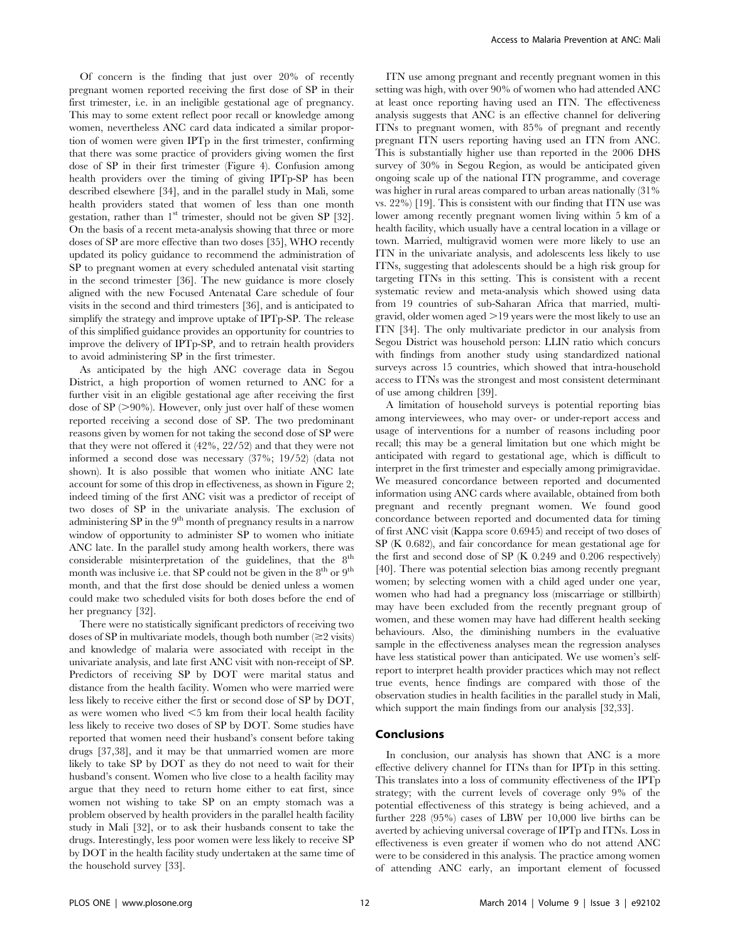Of concern is the finding that just over 20% of recently pregnant women reported receiving the first dose of SP in their first trimester, i.e. in an ineligible gestational age of pregnancy. This may to some extent reflect poor recall or knowledge among women, nevertheless ANC card data indicated a similar proportion of women were given IPTp in the first trimester, confirming that there was some practice of providers giving women the first dose of SP in their first trimester (Figure 4). Confusion among health providers over the timing of giving IPTp-SP has been described elsewhere [34], and in the parallel study in Mali, some health providers stated that women of less than one month gestation, rather than  $1<sup>st</sup>$  trimester, should not be given SP [32]. On the basis of a recent meta-analysis showing that three or more doses of SP are more effective than two doses [35], WHO recently updated its policy guidance to recommend the administration of SP to pregnant women at every scheduled antenatal visit starting in the second trimester [36]. The new guidance is more closely aligned with the new Focused Antenatal Care schedule of four visits in the second and third trimesters [36], and is anticipated to simplify the strategy and improve uptake of IPTp-SP. The release of this simplified guidance provides an opportunity for countries to improve the delivery of IPTp-SP, and to retrain health providers to avoid administering SP in the first trimester.

As anticipated by the high ANC coverage data in Segou District, a high proportion of women returned to ANC for a further visit in an eligible gestational age after receiving the first dose of  $SP \geq 90\%$ ). However, only just over half of these women reported receiving a second dose of SP. The two predominant reasons given by women for not taking the second dose of SP were that they were not offered it (42%, 22/52) and that they were not informed a second dose was necessary (37%; 19/52) (data not shown). It is also possible that women who initiate ANC late account for some of this drop in effectiveness, as shown in Figure 2; indeed timing of the first ANC visit was a predictor of receipt of two doses of SP in the univariate analysis. The exclusion of administering SP in the 9<sup>th</sup> month of pregnancy results in a narrow window of opportunity to administer SP to women who initiate ANC late. In the parallel study among health workers, there was considerable misinterpretation of the guidelines, that the  $8<sup>th</sup>$ month was inclusive i.e. that SP could not be given in the  $8^{\text{th}}$  or  $9^{\text{th}}$ month, and that the first dose should be denied unless a women could make two scheduled visits for both doses before the end of her pregnancy [32].

There were no statistically significant predictors of receiving two doses of SP in multivariate models, though both number  $(\geq 2 \text{ visits})$ and knowledge of malaria were associated with receipt in the univariate analysis, and late first ANC visit with non-receipt of SP. Predictors of receiving SP by DOT were marital status and distance from the health facility. Women who were married were less likely to receive either the first or second dose of SP by DOT, as were women who lived  $\leq$ 5 km from their local health facility less likely to receive two doses of SP by DOT. Some studies have reported that women need their husband's consent before taking drugs [37,38], and it may be that unmarried women are more likely to take SP by DOT as they do not need to wait for their husband's consent. Women who live close to a health facility may argue that they need to return home either to eat first, since women not wishing to take SP on an empty stomach was a problem observed by health providers in the parallel health facility study in Mali [32], or to ask their husbands consent to take the drugs. Interestingly, less poor women were less likely to receive SP by DOT in the health facility study undertaken at the same time of the household survey [33].

ITN use among pregnant and recently pregnant women in this setting was high, with over 90% of women who had attended ANC at least once reporting having used an ITN. The effectiveness analysis suggests that ANC is an effective channel for delivering ITNs to pregnant women, with 85% of pregnant and recently pregnant ITN users reporting having used an ITN from ANC. This is substantially higher use than reported in the 2006 DHS survey of 30% in Segou Region, as would be anticipated given ongoing scale up of the national ITN programme, and coverage was higher in rural areas compared to urban areas nationally (31% vs. 22%) [19]. This is consistent with our finding that ITN use was lower among recently pregnant women living within 5 km of a health facility, which usually have a central location in a village or town. Married, multigravid women were more likely to use an ITN in the univariate analysis, and adolescents less likely to use ITNs, suggesting that adolescents should be a high risk group for targeting ITNs in this setting. This is consistent with a recent systematic review and meta-analysis which showed using data from 19 countries of sub-Saharan Africa that married, multigravid, older women aged  $>19$  years were the most likely to use an ITN [34]. The only multivariate predictor in our analysis from Segou District was household person: LLIN ratio which concurs with findings from another study using standardized national surveys across 15 countries, which showed that intra-household access to ITNs was the strongest and most consistent determinant of use among children [39].

A limitation of household surveys is potential reporting bias among interviewees, who may over- or under-report access and usage of interventions for a number of reasons including poor recall; this may be a general limitation but one which might be anticipated with regard to gestational age, which is difficult to interpret in the first trimester and especially among primigravidae. We measured concordance between reported and documented information using ANC cards where available, obtained from both pregnant and recently pregnant women. We found good concordance between reported and documented data for timing of first ANC visit (Kappa score 0.6945) and receipt of two doses of SP (K 0.682), and fair concordance for mean gestational age for the first and second dose of SP (K 0.249 and 0.206 respectively) [40]. There was potential selection bias among recently pregnant women; by selecting women with a child aged under one year, women who had had a pregnancy loss (miscarriage or stillbirth) may have been excluded from the recently pregnant group of women, and these women may have had different health seeking behaviours. Also, the diminishing numbers in the evaluative sample in the effectiveness analyses mean the regression analyses have less statistical power than anticipated. We use women's selfreport to interpret health provider practices which may not reflect true events, hence findings are compared with those of the observation studies in health facilities in the parallel study in Mali, which support the main findings from our analysis [32,33].

# Conclusions

In conclusion, our analysis has shown that ANC is a more effective delivery channel for ITNs than for IPTp in this setting. This translates into a loss of community effectiveness of the IPTp strategy; with the current levels of coverage only 9% of the potential effectiveness of this strategy is being achieved, and a further 228 (95%) cases of LBW per 10,000 live births can be averted by achieving universal coverage of IPTp and ITNs. Loss in effectiveness is even greater if women who do not attend ANC were to be considered in this analysis. The practice among women of attending ANC early, an important element of focussed